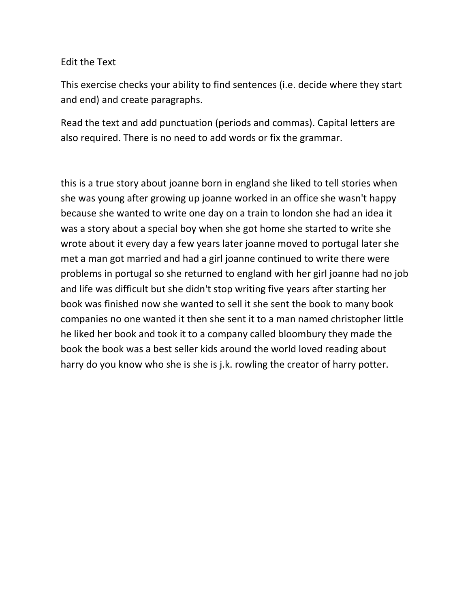## Edit the Text

This exercise checks your ability to find sentences (i.e. decide where they start and end) and create paragraphs.

Read the text and add punctuation (periods and commas). Capital letters are also required. There is no need to add words or fix the grammar.

this is a true story about joanne born in england she liked to tell stories when she was young after growing up joanne worked in an office she wasn't happy because she wanted to write one day on a train to london she had an idea it was a story about a special boy when she got home she started to write she wrote about it every day a few years later joanne moved to portugal later she met a man got married and had a girl joanne continued to write there were problems in portugal so she returned to england with her girl joanne had no job and life was difficult but she didn't stop writing five years after starting her book was finished now she wanted to sell it she sent the book to many book companies no one wanted it then she sent it to a man named christopher little he liked her book and took it to a company called bloombury they made the book the book was a best seller kids around the world loved reading about harry do you know who she is she is j.k. rowling the creator of harry potter.